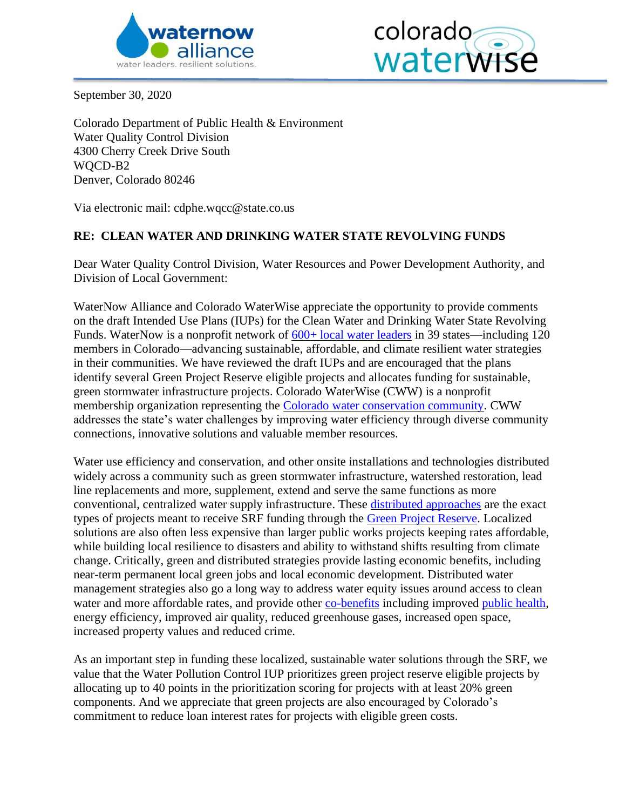



September 30, 2020

Colorado Department of Public Health & Environment Water Quality Control Division 4300 Cherry Creek Drive South WQCD-B2 Denver, Colorado 80246

Via electronic mail: cdphe.wqcc@state.co.us

## **RE: CLEAN WATER AND DRINKING WATER STATE REVOLVING FUNDS**

Dear Water Quality Control Division, Water Resources and Power Development Authority, and Division of Local Government:

WaterNow Alliance and Colorado WaterWise appreciate the opportunity to provide comments on the draft Intended Use Plans (IUPs) for the Clean Water and Drinking Water State Revolving Funds. WaterNow is a nonprofit network of  $600+$  local water leaders in 39 states—including 120 members in Colorado—advancing sustainable, affordable, and climate resilient water strategies in their communities. We have reviewed the draft IUPs and are encouraged that the plans identify several Green Project Reserve eligible projects and allocates funding for sustainable, green stormwater infrastructure projects. Colorado WaterWise (CWW) is a nonprofit membership organization representing the [Colorado water conservation community.](https://coloradowaterwise.org/) CWW addresses the state's water challenges by improving water efficiency through diverse community connections, innovative solutions and valuable member resources.

Water use efficiency and conservation, and other onsite installations and technologies distributed widely across a community such as green stormwater infrastructure, watershed restoration, lead line replacements and more, supplement, extend and serve the same functions as more conventional, centralized water supply infrastructure. These [distributed approaches](https://www.researchgate.net/publication/331066784_Sustainable_and_Resilient_Urban_Water_Systems_The_Role_of_Decentralization_and_Planning) are the exact types of projects meant to receive SRF funding through the [Green Project Reserve.](https://www.epa.gov/sites/production/files/2015-04/documents/green_project_reserve_eligibility_guidance.pdf) Localized solutions are also often less expensive than larger public works projects keeping rates affordable, while building local resilience to disasters and ability to withstand shifts resulting from climate change. Critically, green and distributed strategies provide lasting economic benefits, including near-term permanent local green jobs and local economic development*.* Distributed water management strategies also go a long way to address water equity issues around access to clean water and more affordable rates, and provide other [co-benefits](https://pacinst.org/wp-content/uploads/2019/04/moving-toward-multi-benefit-approach.pdf) including improved [public health,](https://tapin.waternow.org/wp-content/uploads/sites/2/2019/06/PWD-Impact-Analysis.pdf) energy efficiency, improved air quality, reduced greenhouse gases, increased open space, increased property values and reduced crime.

As an important step in funding these localized, sustainable water solutions through the SRF, we value that the Water Pollution Control IUP prioritizes green project reserve eligible projects by allocating up to 40 points in the prioritization scoring for projects with at least 20% green components. And we appreciate that green projects are also encouraged by Colorado's commitment to reduce loan interest rates for projects with eligible green costs.